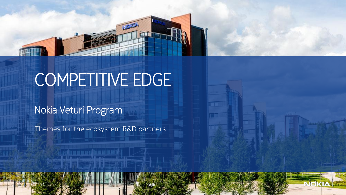

Public

ak17

## COMPETITIVE EDGE

## Nokia Veturi Program

Themes for the ecosystem R&D partners

<u>ti de de douar d'Albana de Leis I</u>

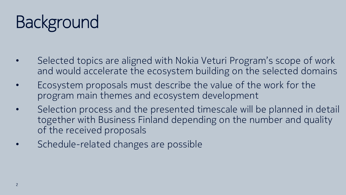## **Background**

- Selected topics are aligned with Nokia Veturi Program's scope of work and would accelerate the ecosystem building on the selected domains
- Ecosystem proposals must describe the value of the work for the program main themes and ecosystem development
- Selection process and the presented timescale will be planned in detail together with Business Finland depending on the number and quality of the received proposals
- Schedule-related changes are possible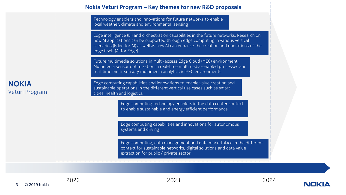

Technology enablers and innovations for future networks to enable local weather, climate and environmental sensing

Edge intelligence (EI) and orchestration capabilities in the future networks. Research on how AI applications can be supported through edge computing in various vertical scenarios (Edge for AI) as well as how AI can enhance the creation and operations of the edge itself (AI for Edge)

Future multimedia solutions in Multi-access Edge Cloud (MEC) environment. Multimedia sensor optimization in real-time multimedia-enabled processes and real-time multi-sensory multimedia analytics in MEC environments

Edge computing capabilities and innovations to enable value creation and sustainable operations in the different vertical use cases such as smart cities, health and logistics

> Edge computing technology enablers in the data center context to enable sustainable and energy efficient performance

Edge computing capabilities and innovations for autonomous systems and driving

Edge computing, data management and data marketplace in the different context for sustainable networks, digital solutions and data value extraction for public / private sector

## NOKIA Veturi Program